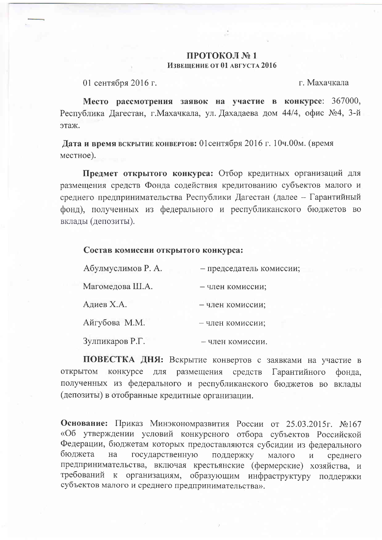## ПРОТОКОЛ №1 Извешение от 01 августа 2016

01 сентября 2016 г.

г. Махачкала

Место рассмотрения заявок на участие в конкурсе: 367000, Республика Дагестан, г. Махачкала, ул. Дахадаева дом 44/4, офис №4, 3-й этаж.

Дата и время вскрытие конвертов: 01 сентября 2016 г. 10ч.00м. (время местное).

Предмет открытого конкурса: Отбор кредитных организаций для размещения средств Фонда содействия кредитованию субъектов малого и среднего предпринимательства Республики Дагестан (далее - Гарантийный фонд), полученных из федерального и республиканского бюджетов во вклады (депозиты).

## Состав комиссии открытого конкурса:

| Абулмуслимов Р. А. | - председатель комиссии |
|--------------------|-------------------------|
| Магомедова Ш.А.    | - член комиссии;        |
| Адиев Х.А.         | - член комиссии;        |
| Айгубова М.М.      | - член комиссии;        |
| Зулпикаров Р.Г.    | — член комиссии.        |

ПОВЕСТКА ДНЯ: Вскрытие конвертов с заявками на участие в конкурсе для размещения средств открытом Гарантийного фонда, полученных из федерального и республиканского бюджетов во вклады (депозиты) в отобранные кредитные организации.

Основание: Приказ Минэкономразвития России от 25.03.2015г. №167 «Об утверждении условий конкурсного отбора субъектов Российской Федерации, бюджетам которых предоставляются субсидии из федерального бюджета государственную на поддержку малого среднего  $\,$  M предпринимательства, включая крестьянские (фермерские) хозяйства, и требований к организациям, образующим инфраструктуру поддержки субъектов малого и среднего предпринимательства».